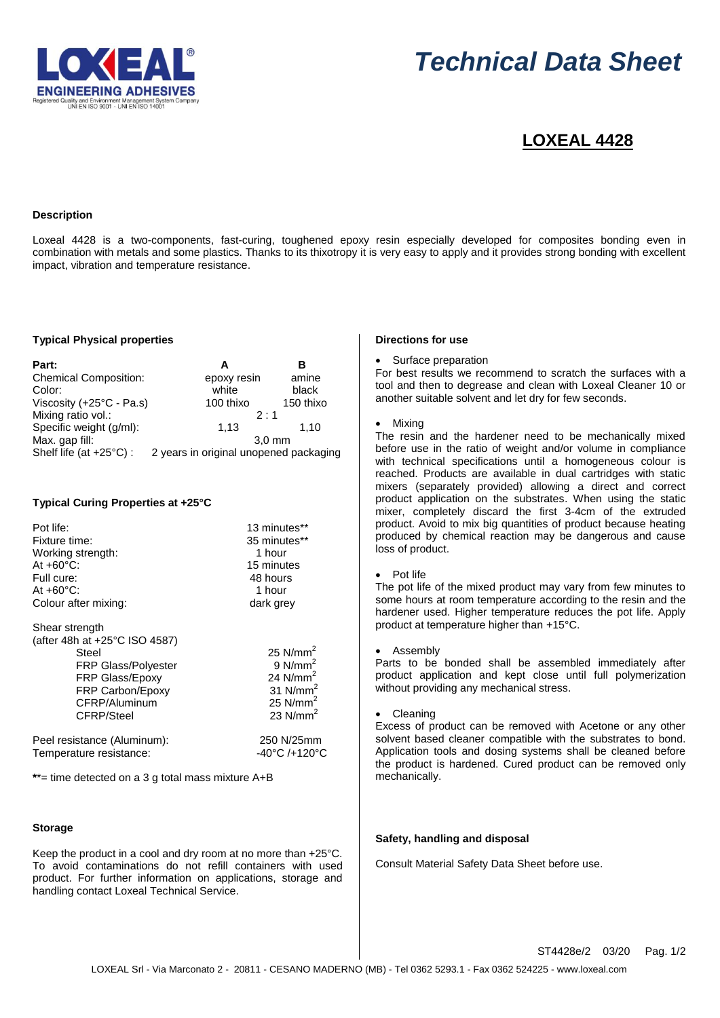

# *Technical Data Sheet*

# **LOXEAL 4428**

### **Description**

Loxeal 4428 is a two-components, fast-curing, toughened epoxy resin especially developed for composites bonding even in combination with metals and some plastics. Thanks to its thixotropy it is very easy to apply and it provides strong bonding with excellent impact, vibration and temperature resistance.

#### **Typical Physical properties**

| Part:                             | А                                      | R         |
|-----------------------------------|----------------------------------------|-----------|
| <b>Chemical Composition:</b>      | epoxy resin                            | amine     |
| Color:                            | white                                  | black     |
| Viscosity (+25°C - Pa.s)          | 100 thixo                              | 150 thixo |
| Mixing ratio vol.:                | $2 \cdot 1$                            |           |
| Specific weight (g/ml):           | 1,13                                   | 1.10      |
| Max. gap fill:                    | $3.0 \text{ mm}$                       |           |
| Shelf life (at $+25^{\circ}$ C) : | 2 years in original unopened packaging |           |

# **Typical Curing Properties at +25°C**

| Pot life:                                                                                                                                                                  | 13 minutes**                                                                                 |
|----------------------------------------------------------------------------------------------------------------------------------------------------------------------------|----------------------------------------------------------------------------------------------|
| Fixture time:                                                                                                                                                              | 35 minutes**                                                                                 |
| Working strength:                                                                                                                                                          | 1 hour                                                                                       |
| At $+60^{\circ}$ C:                                                                                                                                                        | 15 minutes                                                                                   |
| Full cure:                                                                                                                                                                 | 48 hours                                                                                     |
| At $+60^{\circ}$ C:                                                                                                                                                        | 1 hour                                                                                       |
| Colour after mixing:                                                                                                                                                       | dark grey                                                                                    |
| Shear strength<br>(after 48h at +25°C ISO 4587)<br>Steel<br><b>FRP Glass/Polyester</b><br><b>FRP Glass/Epoxy</b><br><b>FRP Carbon/Epoxy</b><br>CFRP/Aluminum<br>CFRP/Steel | 25 $N/mm2$<br>$9$ N/mm <sup>2</sup><br>24 $N/mm2$<br>31 $N/mm2$<br>25 $N/mm2$<br>23 $N/mm^2$ |
| Peel resistance (Aluminum):                                                                                                                                                | 250 N/25mm                                                                                   |
| Temperature resistance:                                                                                                                                                    | -40°C /+120°C                                                                                |

**\***\*= time detected on a 3 g total mass mixture A+B

### **Storage**

Keep the product in a cool and dry room at no more than +25°C. To avoid contaminations do not refill containers with used product. For further information on applications, storage and handling contact Loxeal Technical Service.

# **Directions for use**

#### Surface preparation

For best results we recommend to scratch the surfaces with a tool and then to degrease and clean with Loxeal Cleaner 10 or another suitable solvent and let dry for few seconds.

#### Mixing

The resin and the hardener need to be mechanically mixed before use in the ratio of weight and/or volume in compliance with technical specifications until a homogeneous colour is reached. Products are available in dual cartridges with static mixers (separately provided) allowing a direct and correct product application on the substrates. When using the static mixer, completely discard the first 3-4cm of the extruded product. Avoid to mix big quantities of product because heating produced by chemical reaction may be dangerous and cause loss of product.

#### Pot life

The pot life of the mixed product may vary from few minutes to some hours at room temperature according to the resin and the hardener used. Higher temperature reduces the pot life. Apply product at temperature higher than +15°C.

Assembly

Parts to be bonded shall be assembled immediately after product application and kept close until full polymerization without providing any mechanical stress.

**Cleaning** 

Excess of product can be removed with Acetone or any other solvent based cleaner compatible with the substrates to bond. Application tools and dosing systems shall be cleaned before the product is hardened. Cured product can be removed only mechanically.

# **Safety, handling and disposal**

Consult Material Safety Data Sheet before use.